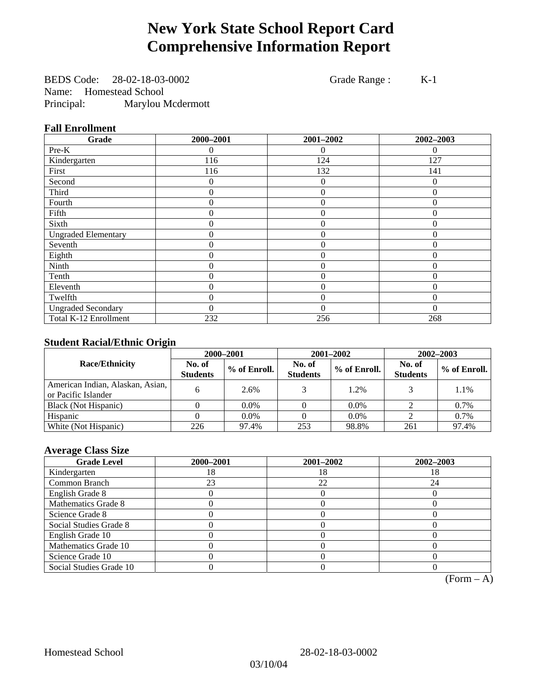# **New York State School Report Card Comprehensive Information Report**

BEDS Code: 28-02-18-03-0002 Grade Range : K-1 Name: Homestead School Principal: Marylou Mcdermott

#### **Fall Enrollment**

| Grade                      | 2000-2001 | 2001-2002      | 2002-2003 |
|----------------------------|-----------|----------------|-----------|
| Pre-K                      | 0         | $\Omega$       | $\theta$  |
| Kindergarten               | 116       | 124            | 127       |
| First                      | 116       | 132            | 141       |
| Second                     | 0         | $\Omega$       | 0         |
| Third                      | 0         | $\theta$       | $\Omega$  |
| Fourth                     | 0         | $\theta$       | $\theta$  |
| Fifth                      | 0         | $\Omega$       | $\Omega$  |
| Sixth                      | 0         | $\theta$       | $\theta$  |
| <b>Ungraded Elementary</b> | 0         | $\overline{0}$ | $\theta$  |
| Seventh                    | 0         | $\overline{0}$ | $\theta$  |
| Eighth                     | $\theta$  | $\theta$       | $\Omega$  |
| Ninth                      | 0         | $\overline{0}$ | $\Omega$  |
| Tenth                      | 0         | $\overline{0}$ | 0         |
| Eleventh                   | 0         | $\overline{0}$ | 0         |
| Twelfth                    | $\theta$  | $\overline{0}$ | $\theta$  |
| <b>Ungraded Secondary</b>  | $\theta$  | $\theta$       | $\Omega$  |
| Total K-12 Enrollment      | 232       | 256            | 268       |

### **Student Racial/Ethnic Origin**

|                                                         | 2000-2001                 |              |                           | 2001-2002    | $2002 - 2003$             |                |
|---------------------------------------------------------|---------------------------|--------------|---------------------------|--------------|---------------------------|----------------|
| <b>Race/Ethnicity</b>                                   | No. of<br><b>Students</b> | % of Enroll. | No. of<br><b>Students</b> | % of Enroll. | No. of<br><b>Students</b> | $%$ of Enroll. |
| American Indian, Alaskan, Asian,<br>or Pacific Islander | h.                        | 2.6%         |                           | 1.2%         |                           | 1.1%           |
| Black (Not Hispanic)                                    |                           | $0.0\%$      |                           | $0.0\%$      |                           | 0.7%           |
| Hispanic                                                |                           | $0.0\%$      |                           | $0.0\%$      |                           | 0.7%           |
| White (Not Hispanic)                                    | 226                       | 97.4%        | 253                       | 98.8%        | 261                       | 97.4%          |

### **Average Class Size**

| <b>Grade Level</b>      | 2000-2001 | 2001-2002 | 2002-2003 |
|-------------------------|-----------|-----------|-----------|
| Kindergarten            | 18        | 18        |           |
| Common Branch           | 23        | 22        | 24        |
| English Grade 8         |           |           |           |
| Mathematics Grade 8     |           |           |           |
| Science Grade 8         |           |           |           |
| Social Studies Grade 8  |           |           |           |
| English Grade 10        |           |           |           |
| Mathematics Grade 10    |           |           |           |
| Science Grade 10        |           |           |           |
| Social Studies Grade 10 |           |           |           |

 $(Form – A)$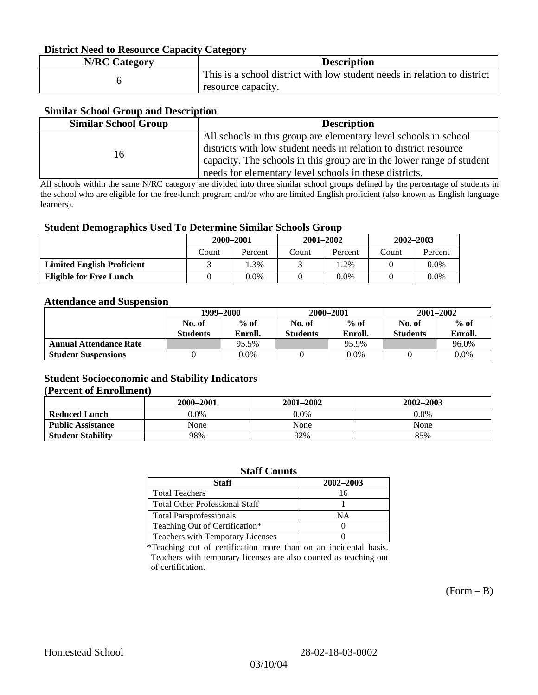#### **District Need to Resource Capacity Category**

| <b>N/RC Category</b> | <b>Description</b>                                                                             |
|----------------------|------------------------------------------------------------------------------------------------|
|                      | This is a school district with low student needs in relation to district<br>resource capacity. |

#### **Similar School Group and Description**

| <b>Similar School Group</b> | <b>Description</b>                                                    |
|-----------------------------|-----------------------------------------------------------------------|
|                             | All schools in this group are elementary level schools in school      |
| 16                          | districts with low student needs in relation to district resource     |
|                             | capacity. The schools in this group are in the lower range of student |
|                             | needs for elementary level schools in these districts.                |

All schools within the same N/RC category are divided into three similar school groups defined by the percentage of students in the school who are eligible for the free-lunch program and/or who are limited English proficient (also known as English language learners).

#### **Student Demographics Used To Determine Similar Schools Group**

|                                   | 2000-2001 |         | $2001 - 2002$ |         | $2002 - 2003$ |         |
|-----------------------------------|-----------|---------|---------------|---------|---------------|---------|
|                                   | Count     | Percent | Count         | Percent | Count         | Percent |
| <b>Limited English Proficient</b> |           | $3\%$   |               | .2%     |               | $0.0\%$ |
| Eligible for Free Lunch           |           | 0.0%    |               | $0.0\%$ |               | $0.0\%$ |

#### **Attendance and Suspension**

|                               | 1999–2000<br>$%$ of<br>No. of |         | 2000-2001        |         | $2001 - 2002$   |         |
|-------------------------------|-------------------------------|---------|------------------|---------|-----------------|---------|
|                               |                               |         | $%$ of<br>No. of |         | No. of          | $%$ of  |
|                               | <b>Students</b>               | Enroll. | <b>Students</b>  | Enroll. | <b>Students</b> | Enroll. |
| <b>Annual Attendance Rate</b> |                               | 95.5%   |                  | 95.9%   |                 | 96.0%   |
| <b>Student Suspensions</b>    |                               | 0.0%    |                  | $0.0\%$ |                 | 0.0%    |

#### **Student Socioeconomic and Stability Indicators (Percent of Enrollment)**

|                          | 2001–2002<br>2000-2001 |         | 2002-2003 |
|--------------------------|------------------------|---------|-----------|
| <b>Reduced Lunch</b>     | $0.0\%$                | $0.0\%$ | $0.0\%$   |
| <b>Public Assistance</b> | None                   | None    | None      |
| <b>Student Stability</b> | 98%                    | 92%     | 85%       |

#### **Staff Counts**

| Staff                                 | 2002-2003 |
|---------------------------------------|-----------|
| <b>Total Teachers</b>                 |           |
| <b>Total Other Professional Staff</b> |           |
| <b>Total Paraprofessionals</b>        | ΝA        |
| Teaching Out of Certification*        |           |
| Teachers with Temporary Licenses      |           |

\*Teaching out of certification more than on an incidental basis. Teachers with temporary licenses are also counted as teaching out of certification.

 $(Form - B)$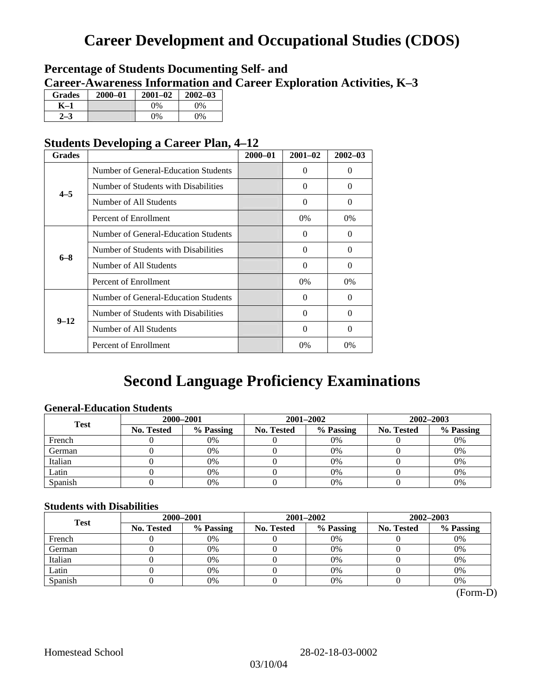# **Career Development and Occupational Studies (CDOS)**

## **Percentage of Students Documenting Self- and Career-Awareness Information and Career Exploration Activities, K–3**

| <b>Grades</b> | 2000-01 | $2001 - 02$ | $2002 - 03$ |
|---------------|---------|-------------|-------------|
| K-1           |         | $0\%$       | $0\%$       |
|               |         | $0\%$       | 0%          |

## **Students Developing a Career Plan, 4–12**

| <b>Grades</b> |                                      | $2000 - 01$ | $2001 - 02$ | $2002 - 03$ |
|---------------|--------------------------------------|-------------|-------------|-------------|
|               | Number of General-Education Students |             | 0           | $\Omega$    |
| $4 - 5$       | Number of Students with Disabilities |             | 0           | $\Omega$    |
|               | Number of All Students               |             | 0           | $\Omega$    |
|               | Percent of Enrollment                |             | 0%          | $0\%$       |
|               | Number of General-Education Students |             | 0           | 0           |
| $6 - 8$       | Number of Students with Disabilities |             | $\Omega$    | $\Omega$    |
|               | Number of All Students               |             | $\theta$    | $\Omega$    |
|               | Percent of Enrollment                |             | $0\%$       | $0\%$       |
|               | Number of General-Education Students |             | 0           | $\Omega$    |
| $9 - 12$      | Number of Students with Disabilities |             | 0           | $\Omega$    |
|               | Number of All Students               |             | $\Omega$    | $\Omega$    |
|               | Percent of Enrollment                |             | $0\%$       | 0%          |

# **Second Language Proficiency Examinations**

### **General-Education Students**

| <b>Test</b> | 2000-2001         |           |            | 2001-2002 | 2002-2003         |           |
|-------------|-------------------|-----------|------------|-----------|-------------------|-----------|
|             | <b>No. Tested</b> | % Passing | No. Tested | % Passing | <b>No. Tested</b> | % Passing |
| French      |                   | 0%        |            | 0%        |                   | 0%        |
| German      |                   | 0%        |            | 0%        |                   | 0%        |
| Italian     |                   | 0%        |            | 0%        |                   | 0%        |
| Latin       |                   | 0%        |            | 0%        |                   | 0%        |
| Spanish     |                   | 0%        |            | 0%        |                   | 0%        |

#### **Students with Disabilities**

| <b>Test</b> | 2000-2001         |           | 2001-2002  |           | 2002-2003         |           |
|-------------|-------------------|-----------|------------|-----------|-------------------|-----------|
|             | <b>No. Tested</b> | % Passing | No. Tested | % Passing | <b>No. Tested</b> | % Passing |
| French      |                   | 0%        |            | 0%        |                   | 0%        |
| German      |                   | 0%        |            | $0\%$     |                   | 0%        |
| Italian     |                   | 0%        |            | 0%        |                   | 0%        |
| Latin       |                   | 0%        |            | 0%        |                   | 0%        |
| Spanish     |                   | 0%        |            | 0%        |                   | 0%        |

(Form-D)